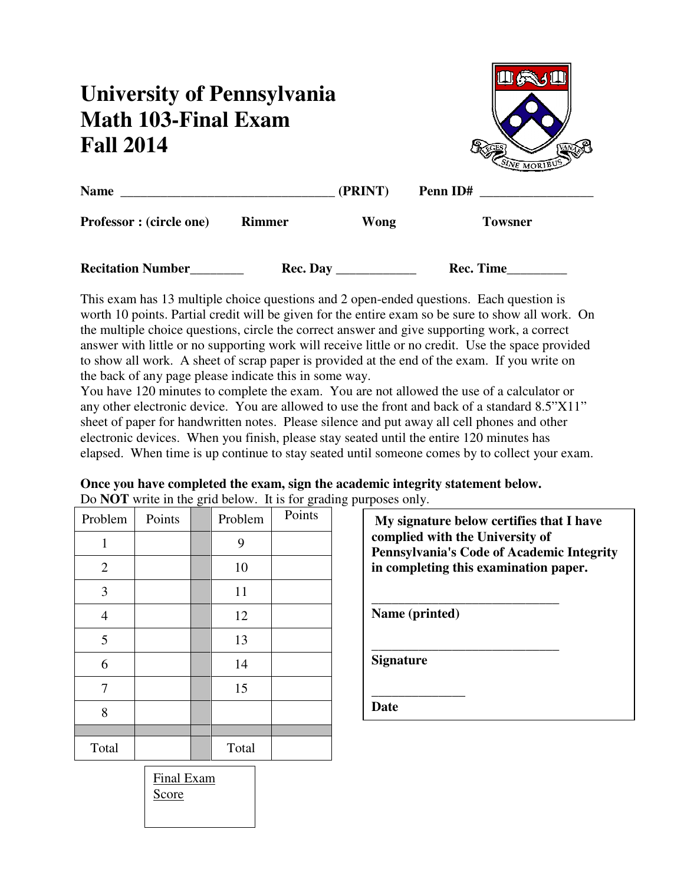# **University of Pennsylvania Math 103-Final Exam Fall 2014**



| <b>Name</b>                     |               | (PRINT) | Penn ID# |                |
|---------------------------------|---------------|---------|----------|----------------|
| <b>Professor</b> : (circle one) | <b>Rimmer</b> | Wong    |          | <b>Towsner</b> |
|                                 |               |         |          |                |

| <b>Recitation Number</b> | <b>Rec. Day</b> | <b>Rec. Time</b> |
|--------------------------|-----------------|------------------|
|--------------------------|-----------------|------------------|

This exam has 13 multiple choice questions and 2 open-ended questions. Each question is worth 10 points. Partial credit will be given for the entire exam so be sure to show all work. On the multiple choice questions, circle the correct answer and give supporting work, a correct answer with little or no supporting work will receive little or no credit. Use the space provided to show all work. A sheet of scrap paper is provided at the end of the exam. If you write on the back of any page please indicate this in some way.

You have 120 minutes to complete the exam. You are not allowed the use of a calculator or any other electronic device. You are allowed to use the front and back of a standard 8.5"X11" sheet of paper for handwritten notes. Please silence and put away all cell phones and other electronic devices. When you finish, please stay seated until the entire 120 minutes has elapsed. When time is up continue to stay seated until someone comes by to collect your exam.

#### **Once you have completed the exam, sign the academic integrity statement below.**  Do **NOT** write in the grid below. It is for grading purposes only.

| Problem        | Points | $\check{ }$ | Problem | Points |
|----------------|--------|-------------|---------|--------|
| $\mathbf{1}$   |        |             | 9       |        |
| $\overline{2}$ |        |             | 10      |        |
| 3              |        |             | 11      |        |
| $\overline{4}$ |        |             | 12      |        |
| $\mathfrak{S}$ |        |             | 13      |        |
| 6              |        |             | 14      |        |
| 7              |        |             | 15      |        |
| 8              |        |             |         |        |
|                |        |             |         |        |
| Total          |        |             | Total   |        |

| My signature below certifies that I have<br>complied with the University of<br><b>Pennsylvania's Code of Academic Integrity</b><br>in completing this examination paper. |  |  |  |  |  |
|--------------------------------------------------------------------------------------------------------------------------------------------------------------------------|--|--|--|--|--|
| Name (printed)                                                                                                                                                           |  |  |  |  |  |
| <b>Signature</b>                                                                                                                                                         |  |  |  |  |  |
| late                                                                                                                                                                     |  |  |  |  |  |

| Final Exam |  |
|------------|--|
| Score      |  |
|            |  |
|            |  |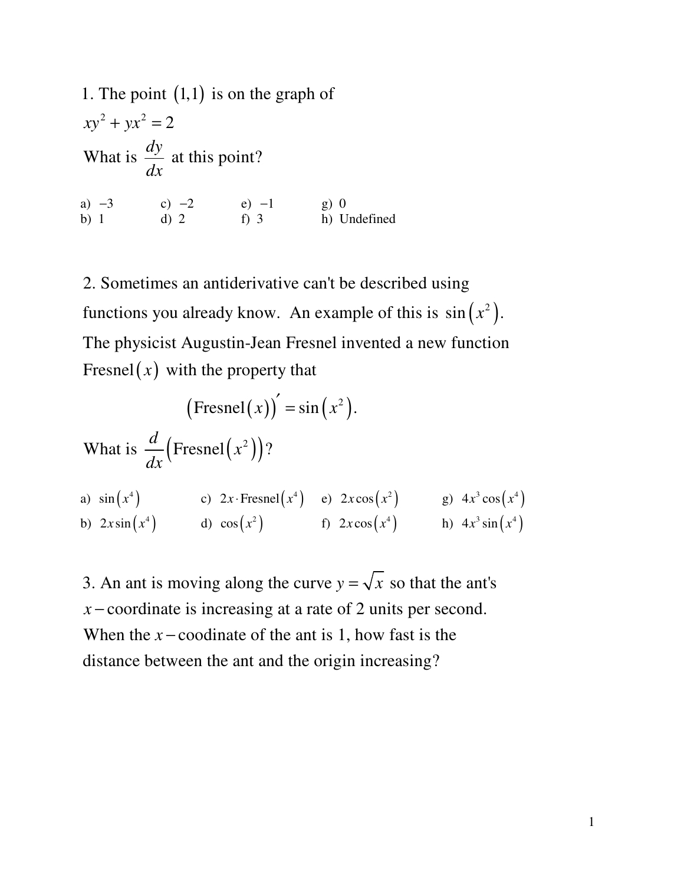1. The point (1,1) is on the graph of  
\n
$$
xy^2 + yx^2 = 2
$$
  
\nWhat is  $\frac{dy}{dx}$  at this point?  
\na) -3 (b) -2 (c) -2 (d) -1 (e) -1 (f) 0  
\nb) 1 (g) 0 (h) Undefined

functions you already know. An example of this is  $sin(x^2)$ . Fresnel $(x)$  with the property that 2. Sometimes an antiderivative can't be described using The physicist Augustin-Jean Fresnel invented a new function

$$
(\text{Fresnel}(x))' = \sin(x^2).
$$
  
What is  $\frac{d}{dx}(\text{Fresnel}(x^2))$ ?  
a)  $\sin(x^4)$  c)  $2x \cdot \text{Fresnel}(x^4)$  e)  $2x \cos(x^2)$  g)  $4x^3 \cos(x^4)$   
b)  $2x \sin(x^4)$  d)  $\cos(x^2)$  f)  $2x \cos(x^4)$  h)  $4x^3 \sin(x^4)$ 

3. An ant is moving along the curve  $y = \sqrt{x}$  so that the ant's *x* − coordinate is increasing at a rate of 2 units per second. When the  $x$  – coodinate of the ant is 1, how fast is the distance between the ant an d the origin increasing?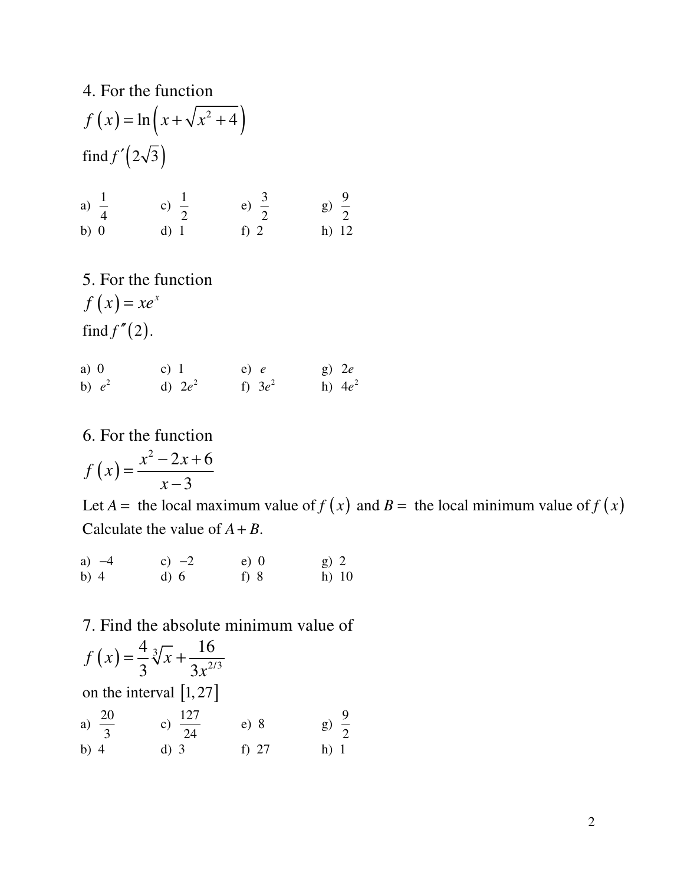4. For the function  
\n
$$
f(x) = \ln(x + \sqrt{x^2 + 4})
$$
  
\nfind  $f'(2\sqrt{3})$   
\na)  $\frac{1}{4}$  c)  $\frac{1}{2}$  e)  $\frac{3}{2}$  g)  $\frac{9}{2}$   
\nb) 0 d) 1 f) 2 h) 12

5. For the function  $f(x) = xe^x$  $find f''(2).$ 

a) 0 c) 1 e) *e* g) 2*e* b)  $e^2$  d)  $2e^2$  f)  $3e^2$  h)  $4e^2$ 

6. For the function

$$
f\left(x\right) = \frac{x^2 - 2x + 6}{x - 3}
$$

Let  $A =$  the local maximum value of  $f(x)$  and  $B =$  the local minimum value of  $f(x)$ Calculate the value of  $A + B$ .

| a) $-4$ | c) $-2$ | $e)$ 0 | $g)$ 2  |
|---------|---------|--------|---------|
| b) $4$  | d) 6    | f) $8$ | $h)$ 10 |

7. Find the absolute minimum value of

$$
f(x) = \frac{4}{3} \sqrt[3]{x} + \frac{16}{3x^{2/3}}
$$
  
on the interval [1, 27]

a) 
$$
\frac{20}{3}
$$
 c)  $\frac{127}{24}$  e) 8 g)  $\frac{9}{2}$   
b) 4 d) 3 f) 27 h) 1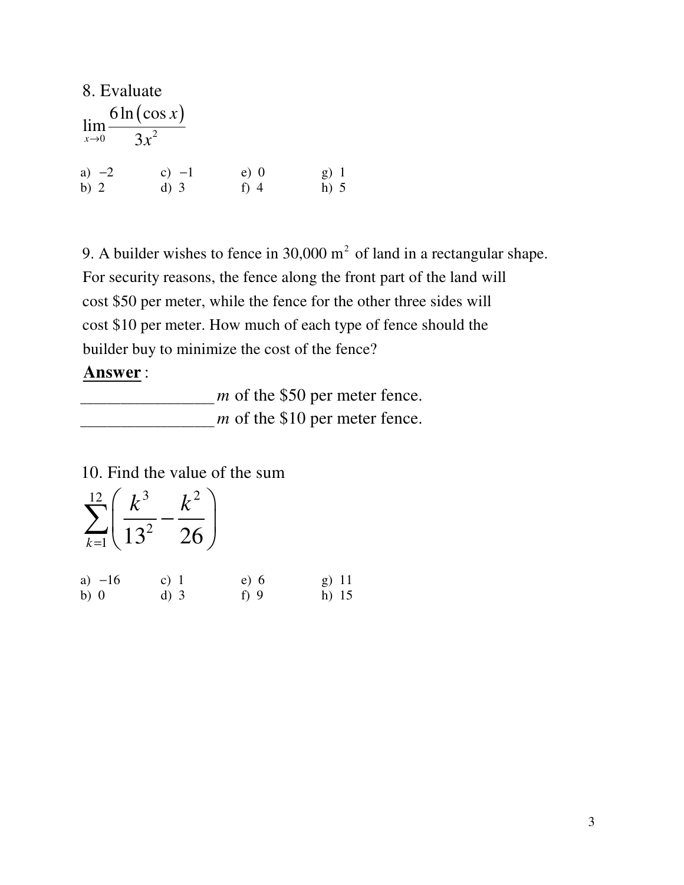| 8. Evaluate                                   |                          |                  |                  |
|-----------------------------------------------|--------------------------|------------------|------------------|
| $\mathbf{u}_{\mathbf{m}}$<br>$x\rightarrow 0$ | $6\ln(\cos x)$<br>$3x^2$ |                  |                  |
| a) $-2$<br>b) 2                               | c) $-1$<br>$d)$ 3        | $e)$ 0<br>$f)$ 4 | $g)$ 1<br>$h)$ 5 |

9. A builder wishes to fence in 30,000  $m^2$  of land in a rectangular shape. For security reasons, the fence along the front part of the land will cost \$50 per meter, while the fence for the other three sides will cost \$10 per meter. How much of each type of fence should the builder buy to minimize the cost of the fence?

### **Answer** :

\_\_\_\_\_\_\_\_\_\_\_\_\_\_\_\_\_\_\_\_ *m* of the \$50 per meter fence. \_\_\_\_\_\_\_\_\_\_\_\_\_\_\_\_\_\_\_\_ *m* of the \$10 per meter fence.

10. Find the value of the sum

| $\sum_{ }^{12}\left( \frac{k^{3}}{2}\right)$<br>$\sum_{k=1}$ $\left( \sqrt{13^2 - 26} \right)$ |        |        |         |
|------------------------------------------------------------------------------------------------|--------|--------|---------|
| a) $-16$                                                                                       | c) $1$ | e) 6   | g) 11   |
| $b)$ 0                                                                                         | $d)$ 3 | f) $9$ | h) $15$ |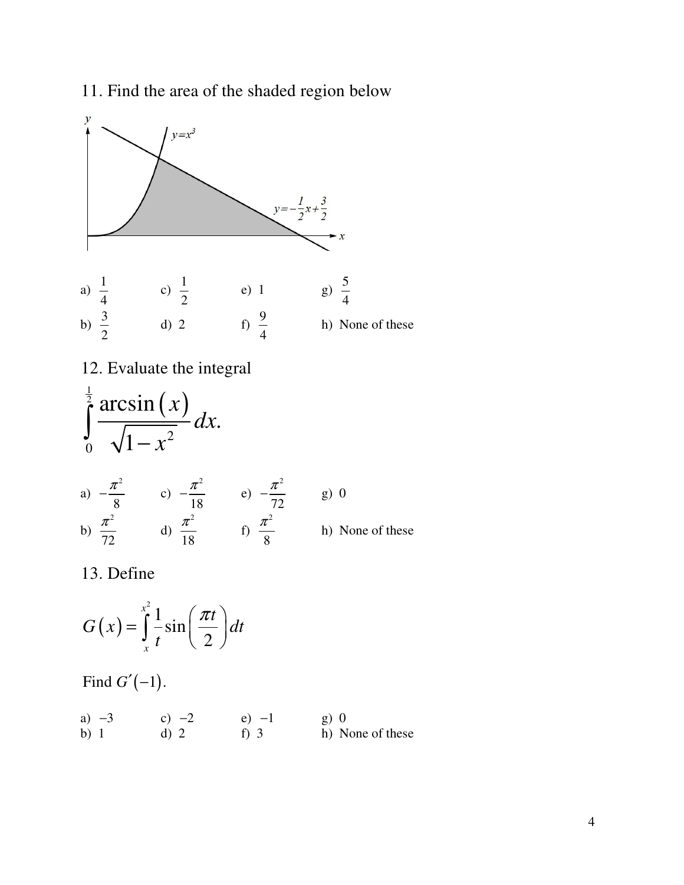## 11. Find the area of the shaded region below



 $(x)$ sin 2 *x*  $G(x) = \frac{1}{2} \sin \left( \frac{\pi}{2} \right) dt$ *t*  $=\int_{0}^{x^2}\frac{1}{t}\sin\left(\frac{\pi t}{2}\right)dt$ 

Find  $G'(-1)$ .

| a) $-3$ | c) $-2$ | $e$ ) $-1$ | g) 0             |
|---------|---------|------------|------------------|
| b) $1$  | $d)$ 2  | f) 3       | h) None of these |